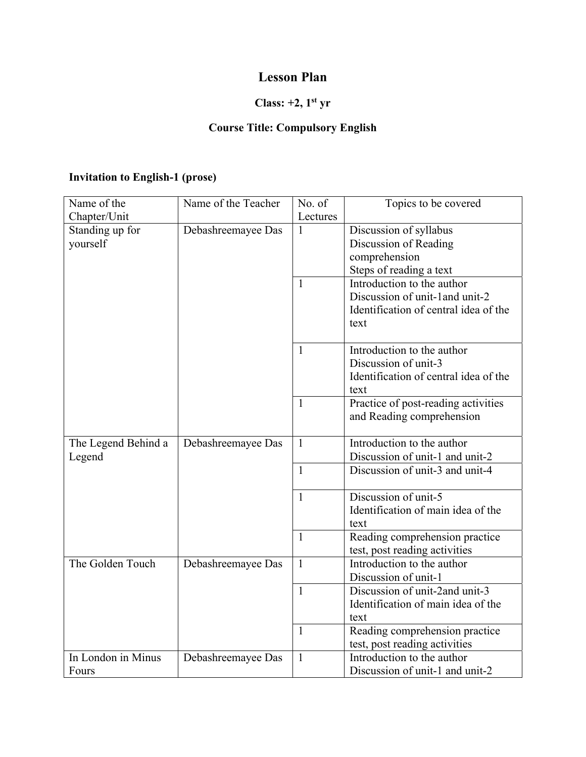# **Lesson Plan**

### **Class: +2, 1st yr**

### **Course Title: Compulsory English**

#### **Invitation to English-1 (prose)**

| Name of the         | Name of the Teacher | No. of       | Topics to be covered                  |
|---------------------|---------------------|--------------|---------------------------------------|
| Chapter/Unit        |                     | Lectures     |                                       |
| Standing up for     | Debashreemayee Das  | 1            | Discussion of syllabus                |
| yourself            |                     |              | Discussion of Reading                 |
|                     |                     |              | comprehension                         |
|                     |                     |              | Steps of reading a text               |
|                     |                     | $\mathbf{1}$ | Introduction to the author            |
|                     |                     |              | Discussion of unit-1 and unit-2       |
|                     |                     |              | Identification of central idea of the |
|                     |                     |              | text                                  |
|                     |                     |              |                                       |
|                     |                     | $\mathbf{1}$ | Introduction to the author            |
|                     |                     |              | Discussion of unit-3                  |
|                     |                     |              | Identification of central idea of the |
|                     |                     |              | text                                  |
|                     |                     | -1           | Practice of post-reading activities   |
|                     |                     |              | and Reading comprehension             |
|                     |                     |              |                                       |
| The Legend Behind a | Debashreemayee Das  | $\mathbf{1}$ | Introduction to the author            |
| Legend              |                     |              | Discussion of unit-1 and unit-2       |
|                     |                     | $\mathbf{1}$ | Discussion of unit-3 and unit-4       |
|                     |                     |              |                                       |
|                     |                     | $\mathbf{1}$ | Discussion of unit-5                  |
|                     |                     |              | Identification of main idea of the    |
|                     |                     |              | text                                  |
|                     |                     | $\mathbf{1}$ | Reading comprehension practice        |
|                     |                     |              | test, post reading activities         |
| The Golden Touch    | Debashreemayee Das  | $\mathbf{1}$ | Introduction to the author            |
|                     |                     |              | Discussion of unit-1                  |
|                     |                     | $\mathbf{1}$ | Discussion of unit-2and unit-3        |
|                     |                     |              | Identification of main idea of the    |
|                     |                     |              | text                                  |
|                     |                     | $\mathbf{1}$ | Reading comprehension practice        |
|                     |                     |              | test, post reading activities         |
| In London in Minus  | Debashreemayee Das  | $\mathbf{1}$ | Introduction to the author            |
| Fours               |                     |              | Discussion of unit-1 and unit-2       |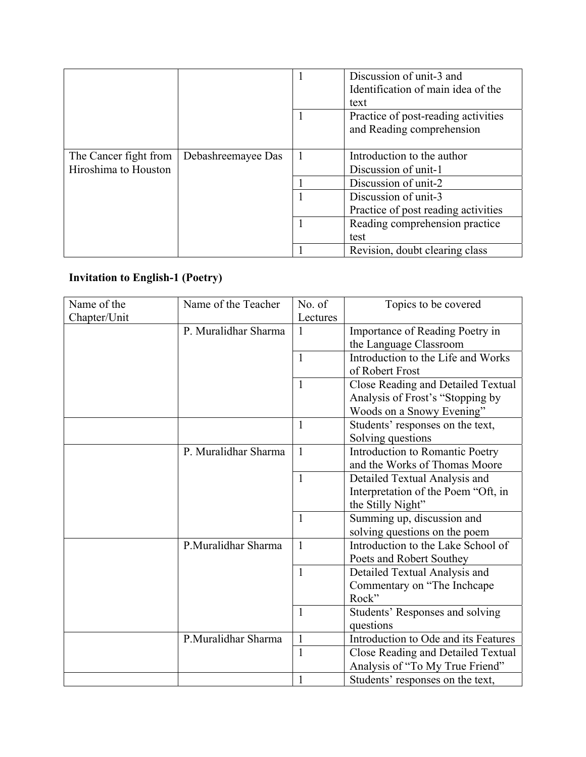|                       |                    | Discussion of unit-3 and<br>Identification of main idea of the<br>text |
|-----------------------|--------------------|------------------------------------------------------------------------|
|                       |                    | Practice of post-reading activities<br>and Reading comprehension       |
| The Cancer fight from | Debashreemayee Das | Introduction to the author                                             |
| Hiroshima to Houston  |                    | Discussion of unit-1                                                   |
|                       |                    | Discussion of unit-2                                                   |
|                       |                    | Discussion of unit-3                                                   |
|                       |                    | Practice of post reading activities                                    |
|                       |                    | Reading comprehension practice                                         |
|                       |                    | test                                                                   |
|                       |                    | Revision, doubt clearing class                                         |

### **Invitation to English-1 (Poetry)**

| Name of the  | Name of the Teacher  | No. of       | Topics to be covered                 |
|--------------|----------------------|--------------|--------------------------------------|
| Chapter/Unit |                      | Lectures     |                                      |
|              | P. Muralidhar Sharma | 1            | Importance of Reading Poetry in      |
|              |                      |              | the Language Classroom               |
|              |                      | $\mathbf{1}$ | Introduction to the Life and Works   |
|              |                      |              | of Robert Frost                      |
|              |                      | 1            | Close Reading and Detailed Textual   |
|              |                      |              | Analysis of Frost's "Stopping by     |
|              |                      |              | Woods on a Snowy Evening"            |
|              |                      | 1            | Students' responses on the text,     |
|              |                      |              | Solving questions                    |
|              | P. Muralidhar Sharma | $\mathbf{1}$ | Introduction to Romantic Poetry      |
|              |                      |              | and the Works of Thomas Moore        |
|              |                      | 1            | Detailed Textual Analysis and        |
|              |                      |              | Interpretation of the Poem "Oft, in  |
|              |                      |              | the Stilly Night"                    |
|              |                      | 1            | Summing up, discussion and           |
|              |                      |              | solving questions on the poem        |
|              | P.Muralidhar Sharma  | $\mathbf{1}$ | Introduction to the Lake School of   |
|              |                      |              | Poets and Robert Southey             |
|              |                      | $\mathbf{1}$ | Detailed Textual Analysis and        |
|              |                      |              | Commentary on "The Inchcape          |
|              |                      |              | Rock"                                |
|              |                      | 1            | Students' Responses and solving      |
|              |                      |              | questions                            |
|              | P.Muralidhar Sharma  | $\mathbf{1}$ | Introduction to Ode and its Features |
|              |                      | 1            | Close Reading and Detailed Textual   |
|              |                      |              | Analysis of "To My True Friend"      |
|              |                      | $\mathbf{1}$ | Students' responses on the text,     |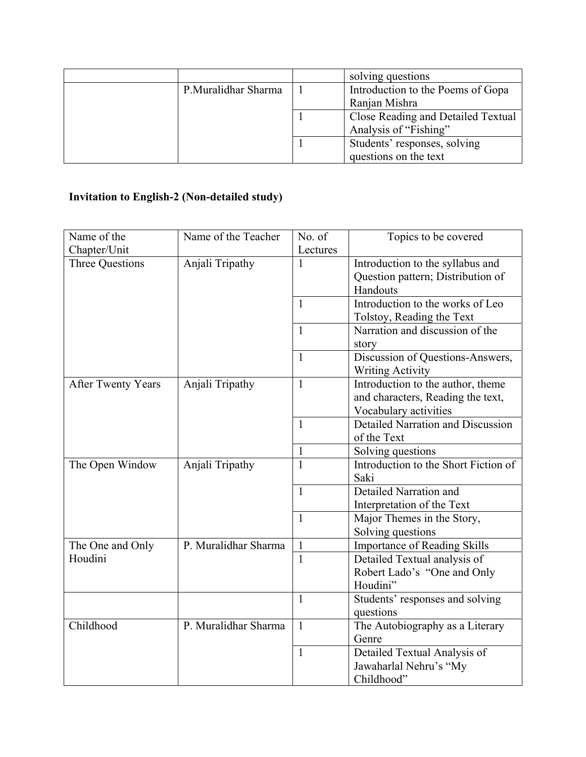|                     | solving questions                  |
|---------------------|------------------------------------|
| P.Muralidhar Sharma | Introduction to the Poems of Gopa  |
|                     | Ranjan Mishra                      |
|                     | Close Reading and Detailed Textual |
|                     | Analysis of "Fishing"              |
|                     | Students' responses, solving       |
|                     | questions on the text              |

## **Invitation to English-2 (Non-detailed study)**

| Name of the               | Name of the Teacher  | No. of       | Topics to be covered                     |
|---------------------------|----------------------|--------------|------------------------------------------|
| Chapter/Unit              |                      | Lectures     |                                          |
| Three Questions           | Anjali Tripathy      | 1            | Introduction to the syllabus and         |
|                           |                      |              | Question pattern; Distribution of        |
|                           |                      |              | Handouts                                 |
|                           |                      | $\mathbf{1}$ | Introduction to the works of Leo         |
|                           |                      |              | Tolstoy, Reading the Text                |
|                           |                      | $\mathbf{1}$ | Narration and discussion of the          |
|                           |                      |              | story                                    |
|                           |                      | $\mathbf{1}$ | Discussion of Questions-Answers,         |
|                           |                      |              | <b>Writing Activity</b>                  |
| <b>After Twenty Years</b> | Anjali Tripathy      | $\mathbf{1}$ | Introduction to the author, theme        |
|                           |                      |              | and characters, Reading the text,        |
|                           |                      |              | Vocabulary activities                    |
|                           |                      | 1            | <b>Detailed Narration and Discussion</b> |
|                           |                      |              | of the Text                              |
|                           |                      | 1            | Solving questions                        |
| The Open Window           | Anjali Tripathy      | $\mathbf{1}$ | Introduction to the Short Fiction of     |
|                           |                      |              | Saki                                     |
|                           |                      | 1            | Detailed Narration and                   |
|                           |                      |              | Interpretation of the Text               |
|                           |                      | $\mathbf{1}$ | Major Themes in the Story,               |
|                           |                      |              | Solving questions                        |
| The One and Only          | P. Muralidhar Sharma | $\mathbf{1}$ | Importance of Reading Skills             |
| Houdini                   |                      | $\mathbf{1}$ | Detailed Textual analysis of             |
|                           |                      |              | Robert Lado's "One and Only              |
|                           |                      |              | Houdini"                                 |
|                           |                      | $\mathbf{1}$ | Students' responses and solving          |
|                           |                      |              | questions                                |
| Childhood                 | P. Muralidhar Sharma | $\mathbf{1}$ | The Autobiography as a Literary          |
|                           |                      |              | Genre                                    |
|                           |                      | 1            | Detailed Textual Analysis of             |
|                           |                      |              | Jawaharlal Nehru's "My                   |
|                           |                      |              | Childhood"                               |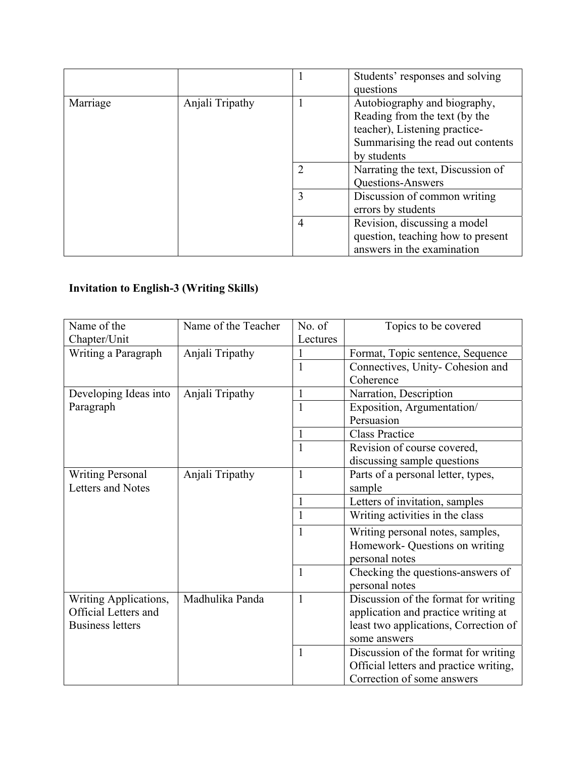|          |                 |   | Students' responses and solving<br>questions                                                                                                       |
|----------|-----------------|---|----------------------------------------------------------------------------------------------------------------------------------------------------|
| Marriage | Anjali Tripathy |   | Autobiography and biography,<br>Reading from the text (by the<br>teacher), Listening practice-<br>Summarising the read out contents<br>by students |
|          |                 | 2 | Narrating the text, Discussion of<br>Questions-Answers                                                                                             |
|          |                 | 3 | Discussion of common writing<br>errors by students                                                                                                 |
|          |                 | 4 | Revision, discussing a model<br>question, teaching how to present<br>answers in the examination                                                    |

#### **Invitation to English-3 (Writing Skills)**

| Name of the                 | Name of the Teacher | No. of       | Topics to be covered                   |
|-----------------------------|---------------------|--------------|----------------------------------------|
| Chapter/Unit                |                     | Lectures     |                                        |
| Writing a Paragraph         | Anjali Tripathy     | 1            | Format, Topic sentence, Sequence       |
|                             |                     | $\mathbf{1}$ | Connectives, Unity- Cohesion and       |
|                             |                     |              | Coherence                              |
| Developing Ideas into       | Anjali Tripathy     |              | Narration, Description                 |
| Paragraph                   |                     | $\mathbf{1}$ | Exposition, Argumentation/             |
|                             |                     |              | Persuasion                             |
|                             |                     | 1            | <b>Class Practice</b>                  |
|                             |                     |              | Revision of course covered,            |
|                             |                     |              | discussing sample questions            |
| <b>Writing Personal</b>     | Anjali Tripathy     | $\mathbf{1}$ | Parts of a personal letter, types,     |
| Letters and Notes           |                     |              | sample                                 |
|                             |                     |              | Letters of invitation, samples         |
|                             |                     | $\mathbf{1}$ | Writing activities in the class        |
|                             |                     | $\mathbf{1}$ | Writing personal notes, samples,       |
|                             |                     |              | Homework- Questions on writing         |
|                             |                     |              | personal notes                         |
|                             |                     | 1            | Checking the questions-answers of      |
|                             |                     |              | personal notes                         |
| Writing Applications,       | Madhulika Panda     | 1            | Discussion of the format for writing   |
| <b>Official Letters and</b> |                     |              | application and practice writing at    |
| <b>Business letters</b>     |                     |              | least two applications, Correction of  |
|                             |                     |              | some answers                           |
|                             |                     | $\mathbf{1}$ | Discussion of the format for writing   |
|                             |                     |              | Official letters and practice writing, |
|                             |                     |              | Correction of some answers             |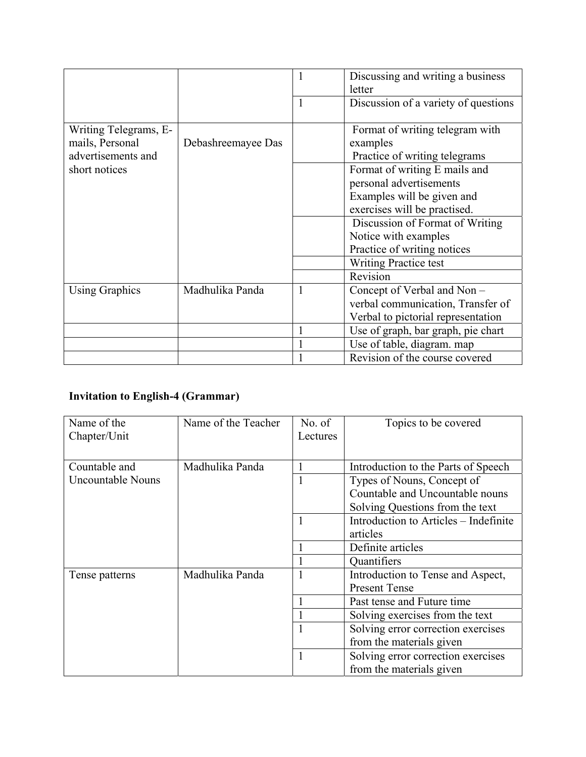|                                                                |                    | 1 | Discussing and writing a business<br>letter                                                                            |
|----------------------------------------------------------------|--------------------|---|------------------------------------------------------------------------------------------------------------------------|
|                                                                |                    | 1 | Discussion of a variety of questions                                                                                   |
| Writing Telegrams, E-<br>mails, Personal<br>advertisements and | Debashreemayee Das |   | Format of writing telegram with<br>examples<br>Practice of writing telegrams                                           |
| short notices                                                  |                    |   | Format of writing E mails and<br>personal advertisements<br>Examples will be given and<br>exercises will be practised. |
|                                                                |                    |   | Discussion of Format of Writing<br>Notice with examples<br>Practice of writing notices                                 |
|                                                                |                    |   | <b>Writing Practice test</b><br>Revision                                                                               |
| <b>Using Graphics</b>                                          | Madhulika Panda    | 1 | Concept of Verbal and Non –<br>verbal communication, Transfer of<br>Verbal to pictorial representation                 |
|                                                                |                    | 1 | Use of graph, bar graph, pie chart                                                                                     |
|                                                                |                    |   | Use of table, diagram. map                                                                                             |
|                                                                |                    |   | Revision of the course covered                                                                                         |

### **Invitation to English-4 (Grammar)**

| Name of the<br>Chapter/Unit | Name of the Teacher | No. of<br>Lectures | Topics to be covered                  |
|-----------------------------|---------------------|--------------------|---------------------------------------|
|                             |                     |                    |                                       |
| Countable and               | Madhulika Panda     |                    | Introduction to the Parts of Speech   |
| <b>Uncountable Nouns</b>    |                     |                    | Types of Nouns, Concept of            |
|                             |                     |                    | Countable and Uncountable nouns       |
|                             |                     |                    | Solving Questions from the text       |
|                             |                     |                    | Introduction to Articles – Indefinite |
|                             |                     |                    | articles                              |
|                             |                     |                    | Definite articles                     |
|                             |                     |                    | Quantifiers                           |
| Tense patterns              | Madhulika Panda     |                    | Introduction to Tense and Aspect,     |
|                             |                     |                    | <b>Present Tense</b>                  |
|                             |                     |                    | Past tense and Future time            |
|                             |                     |                    | Solving exercises from the text       |
|                             |                     |                    | Solving error correction exercises    |
|                             |                     |                    | from the materials given              |
|                             |                     | $\mathbf{1}$       | Solving error correction exercises    |
|                             |                     |                    | from the materials given              |